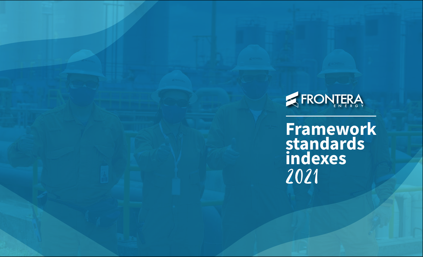

2021 **Framework standards indexes**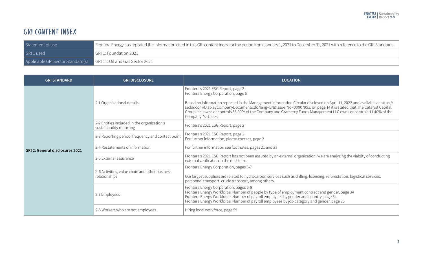## GRI CONTENT INDEX

| Statement of use                  | Frontera Energy has reported the information cited in this GRI content index for the period from January 1, 2021 to December 31, 2021 with reference to the GRI Standards. |
|-----------------------------------|----------------------------------------------------------------------------------------------------------------------------------------------------------------------------|
| GRI 1 used                        | GRI 1: Foundation 2021                                                                                                                                                     |
| Applicable GRI Sector Standard(s) | GRI 11: Oil and Gas Sector 2021                                                                                                                                            |

| <b>GRI STANDARD</b>                    | <b>GRI DISCLOSURE</b>                                           | <b>LOCATION</b>                                                                                                                                                                                                                                                                                                                                                                                                                                     |  |  |  |
|----------------------------------------|-----------------------------------------------------------------|-----------------------------------------------------------------------------------------------------------------------------------------------------------------------------------------------------------------------------------------------------------------------------------------------------------------------------------------------------------------------------------------------------------------------------------------------------|--|--|--|
|                                        | 2-1 Organizational details                                      | Frontera's 2021 ESG Report, page 2<br>Frontera Energy Corporation, page 6<br>Based on information reported in the Management Information Circular disclosed on April 11, 2022 and available at https://<br>sedar.com/DisplayCompanyDocuments.do?lang=EN&issuerNo=00007953, on page 14 it is stated that The Catalyst Capital.<br>Group Inc. owns or controls 36.99% of the Company and Gramercy Funds Management LLC owns or controls 11.40% of the |  |  |  |
|                                        | 2-2 Entities included in the organization's                     | Company's shares                                                                                                                                                                                                                                                                                                                                                                                                                                    |  |  |  |
|                                        | sustainability reporting                                        | Frontera's 2021 ESG Report, page 2                                                                                                                                                                                                                                                                                                                                                                                                                  |  |  |  |
|                                        | 2-3 Reporting period, frequency and contact point               | Frontera's 2021 ESG Report, page 2<br>For further information, please contact, page 2                                                                                                                                                                                                                                                                                                                                                               |  |  |  |
| <b>GRI 2: General disclosures 2021</b> | 2-4 Restatements of information                                 | For further information see footnotes: pages 21 and 23                                                                                                                                                                                                                                                                                                                                                                                              |  |  |  |
|                                        | 2-5 External assurance                                          | Frontera's 2021 ESG Report has not been assured by an external organization. We are analyzing the viabilty of conducting<br>external verification in the mid-term.                                                                                                                                                                                                                                                                                  |  |  |  |
|                                        | 2-6 Activities, value chain and other business<br>relationships | Frontera Energy Corporation, pages 6-7<br>Our largest suppliers are related to hydrocarbon services such as drilling, licencing, reforestation, logistical services,<br>personnel transport, crude transport, among others.                                                                                                                                                                                                                         |  |  |  |
|                                        | 2-7 Employees                                                   | Frontera Energy Corporation, pages 6-8<br>Frontera Energy Workforce: Number of people by type of employment contract and gender, page 34<br>Frontera Energy Workforce: Number of payroll employees by gender and country, page 34<br>Frontera Energy Workforce: Number of payroll employees by job category and gender, page 35                                                                                                                     |  |  |  |
|                                        | 2-8 Workers who are not employees                               | Hiring local workforce, page 59                                                                                                                                                                                                                                                                                                                                                                                                                     |  |  |  |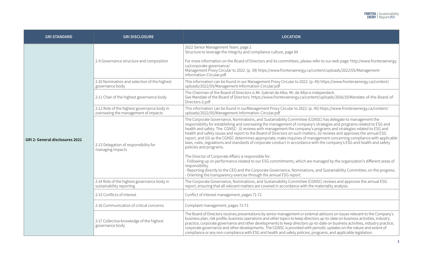| <b>GRI STANDARD</b>             | <b>GRI DISCLOSURE</b>                                                               | <b>LOCATION</b>                                                                                                                                                                                                                                                                                                                                                                                                                                                                                                                                                                                                                                                                                                                                                                                                                |  |  |  |  |
|---------------------------------|-------------------------------------------------------------------------------------|--------------------------------------------------------------------------------------------------------------------------------------------------------------------------------------------------------------------------------------------------------------------------------------------------------------------------------------------------------------------------------------------------------------------------------------------------------------------------------------------------------------------------------------------------------------------------------------------------------------------------------------------------------------------------------------------------------------------------------------------------------------------------------------------------------------------------------|--|--|--|--|
|                                 | 2-9 Governance structure and composition                                            | 2022 Senior Management Team, page 2<br>Structure to leverage the integrity and compliance culture, page 69<br>For more information on the Board of Directors and its committees, please refer to our web page: http://www.fronteraenergy.<br>ca/corporate-governance/<br>Management Proxy Circular to 2022: (p. 39) https://www.fronteraenergy.ca/content/uploads/2022/05/Management-<br>Information-Circular.pdf                                                                                                                                                                                                                                                                                                                                                                                                              |  |  |  |  |
|                                 | 2-10 Nomination and selection of the highest<br>governance body                     | This information can be found in our Management Proxy Circular to 2022: (p. 45) https://www.fronteraenergy.ca/content/<br>uploads/2022/05/Management-Information-Circular.pdf                                                                                                                                                                                                                                                                                                                                                                                                                                                                                                                                                                                                                                                  |  |  |  |  |
|                                 | 2-11 Chair of the highest governance body                                           | The Chairman of the Board of Directors is Mr. Gabriel de Alba. Mr. de Alba is independent.<br>See Mandate of the Board of Directors: https://www.fronteraenergy.ca/content/uploads/2016/10/Mandate-of-the-Board-of-<br>Directors-2.pdf                                                                                                                                                                                                                                                                                                                                                                                                                                                                                                                                                                                         |  |  |  |  |
| GRI 2: General disclosures 2021 | 2-12 Role of the highest governance body in<br>overseeing the management of impacts | This information can be found in ourManagement Proxy Circular to 2022: (p. 45) https://www.fronteraenergy.ca/content/<br>uploads/2022/05/Management-Information-Circular.pdf                                                                                                                                                                                                                                                                                                                                                                                                                                                                                                                                                                                                                                                   |  |  |  |  |
|                                 | 2-13 Delegation of responsibility for<br>managing impacts                           | The Corporate Governance, Nominations, and Sustainability Committee (CGNSC) has delegate to management the<br>responsibility for establishing and overseeing the management of company's strategies and programs related to ESG and<br>health and safety. The CGNSC: (i) reviews with management the company's programs and strategies related to ESG and<br>health and safety issues and report to the Board of Directors on such matters, (ii) reviews and approves the annual ESG<br>report, and (iii) as the CGNSC determines appropriate, make inquiries of management concerning compliance with applicable<br>laws, rules, regulations and standards of corporate conduct in accordance with the company's ESG and health and safety<br>policies and programs.<br>The Director of Corporate Affairs is responsible for: |  |  |  |  |
|                                 |                                                                                     | - Following up on performance related to our ESG commitments, which are managed by the organization's different areas of<br>responsibility.<br>- Reporting directly to the CEO and the Corporate Governance, Nominations, and Sustainability Committee, on the progress.<br>- Orienting the transparency exercise through the annual ESG report.                                                                                                                                                                                                                                                                                                                                                                                                                                                                               |  |  |  |  |
|                                 | 2-14 Role of the highest governance body in<br>sustainability reporting             | The Corporate Governance, Nominations, and Sustainability Committee (CGNSC) reviews and approves the annual ESG<br>report, ensuring that all relevant matters are covered in accordance with the materiality analysis.                                                                                                                                                                                                                                                                                                                                                                                                                                                                                                                                                                                                         |  |  |  |  |
|                                 | 2-15 Conflicts of interest                                                          | Conflict of interest management, pages 71-72                                                                                                                                                                                                                                                                                                                                                                                                                                                                                                                                                                                                                                                                                                                                                                                   |  |  |  |  |
|                                 | 2-16 Communication of critical concerns                                             | Complaint management, pages 72-73                                                                                                                                                                                                                                                                                                                                                                                                                                                                                                                                                                                                                                                                                                                                                                                              |  |  |  |  |
|                                 | 2-17 Collective knowledge of the highest<br>governance body                         | The Board of Directors receives presentations by senior management or external advisors on issues relevant to the Company's<br>business plan, risk profile, business operations and other topics to keep directors up-to-date on business activities, industry<br>practice, corporate governance and other developments to keep directors up-to-date on business activities, industry practice,<br>corporate governance and other developments. The CGNSC is provided with periodic updates on the nature and extent of<br>compliance or any non-compliance with ESG and health and safety policies, programs, and applicable legislation.                                                                                                                                                                                     |  |  |  |  |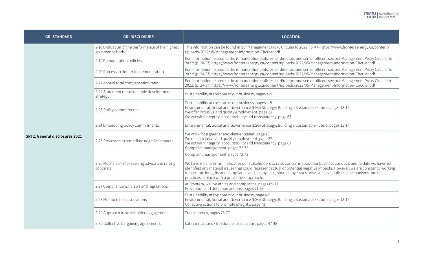| <b>GRI STANDARD</b>                    | <b>GRI DISCLOSURE</b>                                                | <b>LOCATION</b>                                                                                                                                                                                                                                                                                                                                                                                                                                                       |  |  |
|----------------------------------------|----------------------------------------------------------------------|-----------------------------------------------------------------------------------------------------------------------------------------------------------------------------------------------------------------------------------------------------------------------------------------------------------------------------------------------------------------------------------------------------------------------------------------------------------------------|--|--|
|                                        | 2-18 Evaluation of the performance of the highest<br>governance body | This information can be found in our Management Proxy Circular to 2022: (p. 44) https://www.fronteraenergy.ca/content/<br>uploads/2022/05/Management-Information-Circular.pdf                                                                                                                                                                                                                                                                                         |  |  |
|                                        | 2-19 Remuneration policies                                           | For information related to the remuneration policies for directors and senior officers see our Management Proxy Circular to<br>2022: (p. 24-37) https://www.fronteraenergy.ca/content/uploads/2022/05/Management-Information-Circular.pdf                                                                                                                                                                                                                             |  |  |
|                                        | 2-20 Process to determine remuneration                               | For information related to the remuneration policies for directors and senior officers see our Management Proxy Circular to<br>2022: (p. 24-37) https://www.fronteraenergy.ca/content/uploads/2022/05/Management-Information-Circular.pdf                                                                                                                                                                                                                             |  |  |
|                                        | 2-21 Annual total compensation ratio                                 | For information related to the remuneration policies for directors and senior officers see our Management Proxy Circular to<br>2022: (p. 24-37) https://www.fronteraenergy.ca/content/uploads/2022/05/Management-Information-Circular.pdf                                                                                                                                                                                                                             |  |  |
|                                        | 2-22 Statement on sustainable development<br>strategy                | Sustainability at the core of our business, pages 4-5                                                                                                                                                                                                                                                                                                                                                                                                                 |  |  |
|                                        | 2-23 Policy commitments                                              | Sustainability at the core of our business, pages 4-5<br>Environmental, Social and Governance (ESG) Strategy: Building a Sustainable Future, pages 13-17<br>We offer inclusive and quality employment, page 32<br>We act with integrity, accountability and transparency, page 67                                                                                                                                                                                     |  |  |
|                                        | 2-24 Embedding policy commitments                                    | Environmental, Social and Governance (ESG) Strategy: Building a Sustainable Future, pages 13-17                                                                                                                                                                                                                                                                                                                                                                       |  |  |
| <b>GRI 2: General disclosures 2021</b> | 2-25 Processes to remediate negative impacts                         | We work for a greener and cleaner planet, page 18<br>We offer inclusive and quality employment, page 32<br>We act with integrity, accountability and transparency, page 67<br>Complaint management, pages 72-73                                                                                                                                                                                                                                                       |  |  |
|                                        | 2-26 Mechanisms for seeking advice and raising<br>concerns           | Complaint management, pages 72-73<br>We have mechanisms in place for our stakeholders to raise concerns about our business conduct, and to date we have not<br>identified any material issues that could represent actual or potential negative impacts. However, we are constantly working<br>to promote integrity and compliance and, in any case, should any issues arise, we have policies, mechanisms and best<br>practices in place with a preventive approach. |  |  |
|                                        | 2-27 Compliance with laws and regulations                            | At Frontera, we live ethics and compliance, pages 69-71<br>Prevention and detection actions, pages 71-73                                                                                                                                                                                                                                                                                                                                                              |  |  |
|                                        | 2-28 Membership associations                                         | Sustainability at the core of our business, page 4-5<br>Environmental, Social and Governance (ESG) Strategy: Building a Sustainable Future, pages 13-17<br>Collective actions to promote integrity, page 73                                                                                                                                                                                                                                                           |  |  |
|                                        | 2-29 Approach to stakeholder engagement                              | Transparency, pages 76-77                                                                                                                                                                                                                                                                                                                                                                                                                                             |  |  |
|                                        | 2-30 Collective bargaining agreements                                | Labour relations / freedom of association, pages 47-48                                                                                                                                                                                                                                                                                                                                                                                                                |  |  |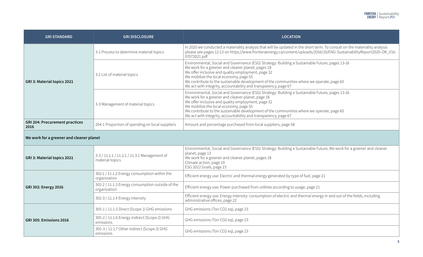| <b>GRI STANDARD</b>                           | <b>GRI DISCLOSURE</b>                                            | <b>LOCATION</b>                                                                                                                                                                                                                                                                                                                                                                                                       |
|-----------------------------------------------|------------------------------------------------------------------|-----------------------------------------------------------------------------------------------------------------------------------------------------------------------------------------------------------------------------------------------------------------------------------------------------------------------------------------------------------------------------------------------------------------------|
| GRI 3: Material topics 2021                   | 3-1 Process to determine material topics                         | In 2020 we conducted a materiality analysis that will be updated in the short term. To consult on the materiality analysis<br>please see pages 12-13 on https://www.fronteraenergy.ca/content/uploads/2016/10/ENG-SustainabilityReport2020-OK_V16-<br>07072021.pdf                                                                                                                                                    |
|                                               | 3-2 List of material topics                                      | Environmental, Social and Governance (ESG) Strategy: Building a Sustainable Future, pages 13-16<br>We work for a greener and cleaner planet, pages 18<br>We offer inclusive and quality employment, page 32<br>We mobilize the local economy, page 55<br>We contribute to the sustainable development of the communities where we operate, page 60<br>We act with integrity, accountability and transparency, page 67 |
|                                               | 3-3 Management of material topics                                | Environmental, Social and Governance (ESG) Strategy: Building a Sustainable Future, pages 13-16<br>We work for a greener and cleaner planet, page 18<br>We offer inclusive and quality employment, page 32<br>We mobilize the local economy, page 55<br>We contribute to the sustainable development of the communities where we operate, page 60<br>We act with integrity, accountability and transparency, page 67  |
| <b>GRI 204: Procurement practices</b><br>2016 | 204-1 Proportion of spending on local suppliers                  | Amount and percentage purchased from local suppliers, page 58                                                                                                                                                                                                                                                                                                                                                         |
| We work for a greener and cleaner planet      |                                                                  |                                                                                                                                                                                                                                                                                                                                                                                                                       |
| GRI 3: Material topics 2021                   | 3-3 / 11.1.1 / 11.2.1 / 11.3.1 Management of<br>material topics  | Environmental, Social and Governance (ESG) Strategy: Building a Sustainable Future, We work for a greener and cleaner<br>planet, page 13<br>We work for a greener and cleaner planet, pages 18<br>Climate action, page 19<br>ESG 2022 Goals, page 23                                                                                                                                                                  |
|                                               | 302-1 / 11.1.2 Energy consumption within the<br>organization     | Efficient energy use: Electric and thermal energy generated by type of fuel, page 21                                                                                                                                                                                                                                                                                                                                  |
| <b>GRI 302: Energy 2016</b>                   | 302-2 / 11.1.3 Energy consumption outside of the<br>organization | Efficient energy use: Power purchased from utilities according to usage, page 21                                                                                                                                                                                                                                                                                                                                      |
|                                               | 302-3 / 11.1.4 Energy intensity                                  | Efficient energy use: Energy intensity: consumption of electric and thermal energy in and out of the fields, including<br>administrative offices, page 22                                                                                                                                                                                                                                                             |
|                                               | 305-1 / 11.1.5 Direct (Scope 1) GHG emissions                    | GHG emissions (Ton CO2 eq), page 23                                                                                                                                                                                                                                                                                                                                                                                   |
| GRI 305: Emissions 2016                       | 305-2 / 11.1.6 Energy indirect (Scope 2) GHG<br>emissions        | GHG emissions (Ton CO2 eq), page 23                                                                                                                                                                                                                                                                                                                                                                                   |
|                                               | 305-3 / 11.1.7 Other indirect (Scope 3) GHG<br>emissions         | GHG emissions (Ton CO2 eq), page 23                                                                                                                                                                                                                                                                                                                                                                                   |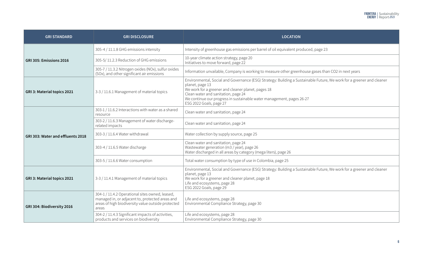| <b>GRI STANDARD</b>               | <b>GRI DISCLOSURE</b>                                                                                                                                             | <b>LOCATION</b>                                                                                                                                                                                                                                                                                                                           |  |  |
|-----------------------------------|-------------------------------------------------------------------------------------------------------------------------------------------------------------------|-------------------------------------------------------------------------------------------------------------------------------------------------------------------------------------------------------------------------------------------------------------------------------------------------------------------------------------------|--|--|
|                                   | 305-4 / 11.1.8 GHG emissions intensity                                                                                                                            | Intensity of greenhouse gas emissions per barrel of oil equivalent produced, page 23                                                                                                                                                                                                                                                      |  |  |
| GRI 305: Emissions 2016           | 305-5/11.2.3 Reduction of GHG emissions                                                                                                                           | 10-year climate action strategy, page 20<br>Initiatives to move forward, page 22                                                                                                                                                                                                                                                          |  |  |
|                                   | 305-7 / 11.3.2 Nitrogen oxides (NOx), sulfur oxides<br>(SOx), and other significant air emissions                                                                 | Information unvailable, Company is working to measure other greenhouse gases than CO2 in next years                                                                                                                                                                                                                                       |  |  |
| GRI 3: Material topics 2021       | 3-3 / 11.6.1 Management of material topics                                                                                                                        | Environmental, Social and Governance (ESG) Strategy: Building a Sustainable Future, We work for a greener and cleaner<br>planet, page 13<br>We work for a greener and cleaner planet, pages 18<br>Clean water and sanitation, page 24<br>We continue our progress in sustainable water management, pages 26-27<br>ESG 2022 Goals, page 27 |  |  |
|                                   | 303-1 / 11.6.2 Interactions with water as a shared<br>resource                                                                                                    | Clean water and sanitation, page 24                                                                                                                                                                                                                                                                                                       |  |  |
|                                   | 303-2 / 11.6.3 Management of water discharge-<br>related impacts                                                                                                  | Clean water and sanitation, page 24                                                                                                                                                                                                                                                                                                       |  |  |
| GRI 303: Water and effluents 2018 | 303-3 / 11.6.4 Water withdrawal                                                                                                                                   | Water collection by supply source, page 25                                                                                                                                                                                                                                                                                                |  |  |
|                                   | 303-4 / 11.6.5 Water discharge                                                                                                                                    | Clean water and sanitation, page 24<br>Wastewater generation (m3 / year), page 26<br>Water discharged in all areas by category (mega liters), page 26                                                                                                                                                                                     |  |  |
|                                   | 303-5 / 11.6.6 Water consumption                                                                                                                                  | Total water consumption by type of use in Colombia, page 25                                                                                                                                                                                                                                                                               |  |  |
| GRI 3: Material topics 2021       | 3-3 / 11.4.1 Management of material topics                                                                                                                        | Environmental, Social and Governance (ESG) Strategy: Building a Sustainable Future, We work for a greener and cleaner<br>planet, page 13<br>We work for a greener and cleaner planet, page 18<br>Life and ecosystems, page 28<br>ESG 2022 Goals, page 29                                                                                  |  |  |
| GRI 304: Biodiversity 2016        | 304-1 / 11.4.2 Operational sites owned, leased,<br>managed in, or adjacent to, protected areas and<br>areas of high biodiversity value outside protected<br>areas | Life and ecosystems, page 28<br>Environmental Compliance Strategy, page 30                                                                                                                                                                                                                                                                |  |  |
|                                   | 304-2 / 11.4.3 Significant impacts of activities,<br>products and services on biodiversity                                                                        | Life and ecosystems, page 28<br>Environmental Compliance Strategy, page 30                                                                                                                                                                                                                                                                |  |  |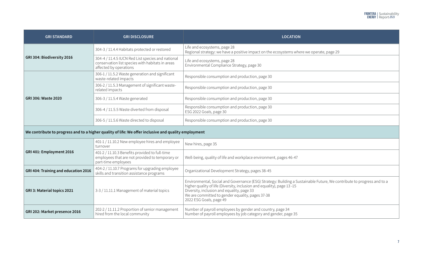| <b>GRI STANDARD</b>                                                                                                                                                                                                                                                               | <b>GRI DISCLOSURE</b>                                                                                                           | <b>LOCATION</b>                                                                                                               |  |
|-----------------------------------------------------------------------------------------------------------------------------------------------------------------------------------------------------------------------------------------------------------------------------------|---------------------------------------------------------------------------------------------------------------------------------|-------------------------------------------------------------------------------------------------------------------------------|--|
|                                                                                                                                                                                                                                                                                   | 304-3 / 11.4.4 Habitats protected or restored                                                                                   | Life and ecosystems, page 28<br>Regional strategy: we have a positive impact on the ecosystems where we operate, page 29      |  |
| GRI 304: Biodiversity 2016                                                                                                                                                                                                                                                        | 304-4 / 11.4.5 IUCN Red List species and national<br>conservation list species with habitats in areas<br>affected by operations | Life and ecosystems, page 28<br>Environmental Compliance Strategy, page 30                                                    |  |
|                                                                                                                                                                                                                                                                                   | 306-1 / 11.5.2 Waste generation and significant<br>waste-related impacts                                                        | Responsible consumption and production, page 30                                                                               |  |
|                                                                                                                                                                                                                                                                                   | 306-2 / 11.5.3 Management of significant waste-<br>related impacts                                                              | Responsible consumption and production, page 30                                                                               |  |
| GRI 306: Waste 2020                                                                                                                                                                                                                                                               | 306-3 / 11.5.4 Waste generated                                                                                                  | Responsible consumption and production, page 30                                                                               |  |
|                                                                                                                                                                                                                                                                                   | 306-4 / 11.5.5 Waste diverted from disposal                                                                                     | Responsible consumption and production, page 30<br>ESG 2022 Goals, page 30                                                    |  |
|                                                                                                                                                                                                                                                                                   | 306-5 / 11.5.6 Waste directed to disposal                                                                                       | Responsible consumption and production, page 30                                                                               |  |
|                                                                                                                                                                                                                                                                                   | We contribute to progress and to a higher quality of life: We offer inclusive and quality employment                            |                                                                                                                               |  |
|                                                                                                                                                                                                                                                                                   | 401-1 / 11.10.2 New employee hires and employee<br>turnover                                                                     | New hires, page 35                                                                                                            |  |
| GRI 401: Employment 2016                                                                                                                                                                                                                                                          | 401-2 / 11.10.3 Benefits provided to full-time<br>employees that are not provided to temporary or<br>part-time employees        | Well-being, quality of life and workplace environment, pages 46-47                                                            |  |
| GRI 404: Training and education 2016                                                                                                                                                                                                                                              | 404-2 / 11.10.7 Programs for upgrading employee<br>skills and transition assistance programs                                    | Organizational Development Strategy, pages 38-45                                                                              |  |
| higher quality of life (Diversity, inclusion and equality), page 13-15<br>3-3 / 11.11.1 Management of material topics<br>Diversity, inclusion and equality, page 33<br>GRI 3: Material topics 2021<br>We are committed to gender equality, pages 37-38<br>2022 ESG Goals, page 49 |                                                                                                                                 | Environmental, Social and Governance (ESG) Strategy: Building a Sustainable Future, We contribute to progress and to a        |  |
| GRI 202: Market presence 2016                                                                                                                                                                                                                                                     | 202-2 / 11.11.2 Proportion of senior management<br>hired from the local community                                               | Number of payroll employees by gender and country, page 34<br>Number of payroll employees by job category and gender, page 35 |  |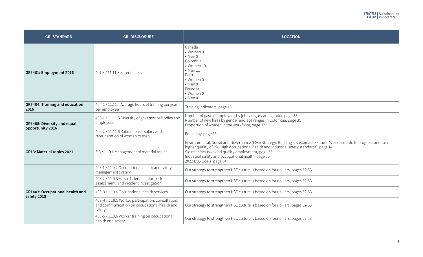| <b>GRI STANDARD</b>                                                       | <b>GRI DISCLOSURE</b>                                                                                        | <b>LOCATION</b>                                                                                                                                                                                                                                                                                                                                             |  |  |  |  |
|---------------------------------------------------------------------------|--------------------------------------------------------------------------------------------------------------|-------------------------------------------------------------------------------------------------------------------------------------------------------------------------------------------------------------------------------------------------------------------------------------------------------------------------------------------------------------|--|--|--|--|
| GRI 401: Employment 2016                                                  | 401-3 / 11.11.3 Parental leave                                                                               | Canada<br>• Women 0<br>$•$ Men $0$<br>Colombia<br>• Women 10<br>$\bullet$ Men 11<br>Peru<br>• Women 0<br>$•$ Men $0$<br>Ecuador<br>• Women 0<br>$•$ Men $0$                                                                                                                                                                                                 |  |  |  |  |
| <b>GRI 404: Training and education</b><br>2016                            | 404-1 / 11.11.4 Average hours of training per year<br>per employee                                           | Training indicators, page 43                                                                                                                                                                                                                                                                                                                                |  |  |  |  |
| GRI 405: Diversity and equal<br>opportunity 2016                          | 405-1 / 11.11.5 Diversity of governance bodies and<br>employees                                              | Number of payroll employees by job category and gender, page 35<br>Number of new hires by gender and age ranges in Colombia, page 35<br>Proportion of women in the workforce, page 37                                                                                                                                                                       |  |  |  |  |
|                                                                           | 405-2 / 11.11.6 Ratio of basic salary and<br>remuneration of women to men                                    | Equal pay, page 38                                                                                                                                                                                                                                                                                                                                          |  |  |  |  |
| 3-3 / 11.9.1 Management of material topics<br>GRI 3: Material topics 2021 |                                                                                                              | Environmental, Social and Governance (ESG) Strategy: Building a Sustainable Future, We contribute to progress and to a<br>higher quality of life (High occupational health and industrial safety standards), page 14<br>We offer inclusive and quality employment, page 32<br>Industrial safety and occupational health, page 50<br>2022 ESG Goals, page 54 |  |  |  |  |
|                                                                           | 403-1 / 11.9.2 Occupational health and safety<br>management system                                           | Our strategy to strengthen HSE culture is based on four pillars, pages 52-53                                                                                                                                                                                                                                                                                |  |  |  |  |
|                                                                           | 403-2 / 11.9.3 Hazard identification, risk<br>assessment, and incident investigation                         | Our strategy to strengthen HSE culture is based on four pillars, pages 52-53                                                                                                                                                                                                                                                                                |  |  |  |  |
| GRI 403: Occupational health and<br>safety 2018                           | 403-3 / 11.9.4 Occupational health services                                                                  | Our strategy to strengthen HSE culture is based on four pillars, pages 52-53                                                                                                                                                                                                                                                                                |  |  |  |  |
|                                                                           | 403-4 / 11.9.5 Worker participation, consultation,<br>and communication on occupational health and<br>safety | Our strategy to strengthen HSE culture is based on four pillars, pages 52-53                                                                                                                                                                                                                                                                                |  |  |  |  |
|                                                                           | 403-5 / 11.9.6 Worker training on occupational<br>health and safety                                          | Our strategy to strengthen HSE culture is based on four pillars, pages 52-53                                                                                                                                                                                                                                                                                |  |  |  |  |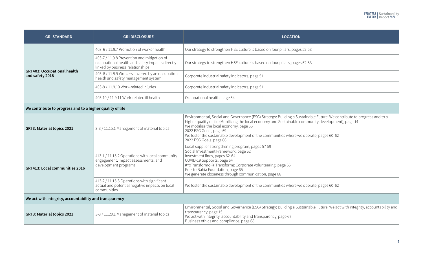| <b>GRI STANDARD</b>                                       | <b>GRI DISCLOSURE</b>                                                                                                              | <b>LOCATION</b>                                                                                                                                                                                                                                                                                                                                                                                                          |  |
|-----------------------------------------------------------|------------------------------------------------------------------------------------------------------------------------------------|--------------------------------------------------------------------------------------------------------------------------------------------------------------------------------------------------------------------------------------------------------------------------------------------------------------------------------------------------------------------------------------------------------------------------|--|
|                                                           | 403-6 / 11.9.7 Promotion of worker health                                                                                          | Our strategy to strengthen HSE culture is based on four pillars, pages 52-53                                                                                                                                                                                                                                                                                                                                             |  |
|                                                           | 403-7 / 11.9.8 Prevention and mitigation of<br>occupational health and safety impacts directly<br>linked by business relationships | Our strategy to strengthen HSE culture is based on four pillars, pages 52-53                                                                                                                                                                                                                                                                                                                                             |  |
| <b>GRI 403: Occupational health</b><br>and safety 2018    | 403-8 / 11.9.9 Workers covered by an occupational<br>health and safety management system                                           | Corporate industrial safety indicators, page 51                                                                                                                                                                                                                                                                                                                                                                          |  |
|                                                           | 403-9 / 11.9.10 Work-related injuries                                                                                              | Corporate industrial safety indicators, page 51                                                                                                                                                                                                                                                                                                                                                                          |  |
|                                                           | 403-10 / 11.9.11 Work-related ill health                                                                                           | Occupational health, page 54                                                                                                                                                                                                                                                                                                                                                                                             |  |
| We contribute to progress and to a higher quality of life |                                                                                                                                    |                                                                                                                                                                                                                                                                                                                                                                                                                          |  |
| GRI 3: Material topics 2021                               | 3-3 / 11.15.1 Management of material topics                                                                                        | Environmental, Social and Governance (ESG) Strategy: Building a Sustainable Future, We contribute to progress and to a<br>higher quality of life (Mobilizing the local economy and Sustainable community development), page 14<br>We mobilize the local economy, page 55<br>2022 ESG Goals, page 59<br>We foster the sustainable development of the communities where we operate, pages 60-62<br>2022 ESG Goals, page 66 |  |
| GRI 413: Local communities 2016                           | 413-1 / 11.15.2 Operations with local community<br>engagement, impact assessments, and<br>development programs                     | Local supplier strengthening program, pages 57-59<br>Social Investment Framework, page 62<br>Investment lines, pages 62-64<br>COVID-19 Supports, page 64<br>#YoTransformo (#ITransform): Corporate Volunteering, page 65<br>Puerto Bahia Foundation, page 65<br>We generate closeness through communication, page 66                                                                                                     |  |
|                                                           | 413-2 / 11.15.3 Operations with significant<br>actual and potential negative impacts on local<br>communities                       | We foster the sustainable development of the communities where we operate, pages 60-62                                                                                                                                                                                                                                                                                                                                   |  |
| We act with integrity, accountability and transparency    |                                                                                                                                    |                                                                                                                                                                                                                                                                                                                                                                                                                          |  |
| GRI 3: Material topics 2021                               | 3-3 / 11.20.1 Management of material topics                                                                                        | Environmental, Social and Governance (ESG) Strategy: Building a Sustainable Future, We act with integrity, accountability and<br>transparency, page 15<br>We act with integrity, accountability and transparency, page 67<br>Business ethics and compliance, page 68                                                                                                                                                     |  |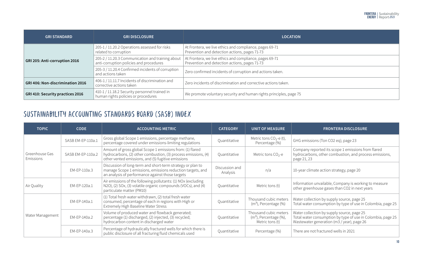| <b>GRI STANDARD</b>              | <b>GRI DISCLOSURE</b>                                                                       | <b>LOCATION</b>                                                                                          |  |
|----------------------------------|---------------------------------------------------------------------------------------------|----------------------------------------------------------------------------------------------------------|--|
|                                  | 205-1 / 11.20.2 Operations assessed for risks<br>related to corruption                      | At Frontera, we live ethics and compliance, pages 69-71<br>Prevention and detection actions, pages 71-73 |  |
| GRI 205: Anti-corruption 2016    | 205-2 / 11.20.3 Communication and training about<br>anti-corruption policies and procedures | At Frontera, we live ethics and compliance, pages 69-71<br>Prevention and detection actions, pages 71-73 |  |
|                                  | 205-3 / 11.20.4 Confirmed incidents of corruption<br>and actions taken                      | Zero confirmed incidents of corruption and actions taken.                                                |  |
| GRI 406: Non-discrimination 2016 | 406-1 / 11.11.7 Incidents of discrimination and<br>corrective actions taken                 | Zero incidents of discrimination and corrective actions taken.                                           |  |
| GRI 410: Security practices 2016 | 410-1 / 11.18.2 Security personnel trained in<br>human rights policies or procedures        | We promote voluntary security and human rights principles, page 75                                       |  |

## SUSTAINABILITY ACCOUNTING STANDARDS BOARD (SASB) INDEX

| <b>TOPIC</b>                       | <b>CODE</b>       | <b>ACCOUNTING METRIC</b>                                                                                                                                                          | <b>CATEGORY</b>            | <b>UNIT OF MEASURE</b>                                                   | <b>FRONTERA DISCLOSURE</b>                                                                                                                              |
|------------------------------------|-------------------|-----------------------------------------------------------------------------------------------------------------------------------------------------------------------------------|----------------------------|--------------------------------------------------------------------------|---------------------------------------------------------------------------------------------------------------------------------------------------------|
| Greenhouse Gas<br><b>Emissions</b> | SASB EM-EP-110a.1 | Gross global Scope 1 emissions, percentage methane,<br>percentage covered under emissions-limiting regulations                                                                    | Quantitative               | Metric tons $CO2$ -e (t),<br>Percentage (%)                              | GHG emissions (Ton CO2 eq), page 23                                                                                                                     |
|                                    | SASB EM-EP-110a.2 | Amount of gross global Scope 1 emissions from: (1) flared<br>hydrocarbons, (2) other combustion, (3) process emissions, (4)<br>other vented emissions, and (5) fugitive emissions | Quantitative               | Metric tons $CO2 - e$                                                    | Company reported its scope 1 emissions from flared<br>hydrocarbons, other combustion, and process emissions,<br>page 21, 23                             |
|                                    | EM-EP-110a.3      | Discussion of long-term and short-term strategy or plan to<br>manage Scope 1 emissions, emissions reduction targets, and<br>an analysis of performance against those targets      | Discussion and<br>Analysis | n/a                                                                      | 10-year climate action strategy, page 20                                                                                                                |
| Air Quality                        | EM-EP-120a.1      | Air emissions of the following pollutants: (1) NOx (excluding<br>N2O), (2) SOx, (3) volatile organic compounds (VOCs), and (4)<br>particulate matter (PM10)                       | Quantitative               | Metric tons (t)                                                          | Information unvailable, Company is working to measure<br>other greenhouse gases than CO2 in next years                                                  |
| Water Management                   | EM-EP-140a.1      | (1) Total fresh water withdrawn, (2) total fresh water<br>consumed, percentage of each in regions with High or<br>Extremely High Baseline Water Stress                            | Quantitative               | Thousand cubic meters<br>$(m3)$ , Percentage $(\%)$                      | Water collection by supply source, page 25<br>Total water consumption by type of use in Colombia, page 25                                               |
|                                    | EM-EP-140a.2      | Volume of produced water and flowback generated;<br>percentage (1) discharged, (2) injected, (3) recycled;<br>hydrocarbon content in discharged water                             | Quantitative               | Thousand cubic meters<br>$(m3)$ , Percentage $(\%)$ ,<br>Metric tons (t) | Water collection by supply source, page 25<br>Total water consumption by type of use in Colombia, page 25<br>Wastewater generation (m3 / year), page 26 |
|                                    | EM-EP-140a.3      | Percentage of hydraulically fractured wells for which there is<br>public disclosure of all fracturing fluid chemicals used                                                        | Quantitative               | Percentage (%)                                                           | There are not fractured wells in 2021                                                                                                                   |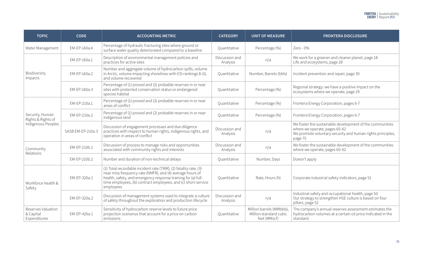| <b>TOPIC</b>                                    | <b>CODE</b>       | <b>ACCOUNTING METRIC</b>                                                                                                                                                                                                                                                      | <b>CATEGORY</b>            | <b>UNIT OF MEASURE</b>                                              | <b>FRONTERA DISCLOSURE</b>                                                                                                                                         |
|-------------------------------------------------|-------------------|-------------------------------------------------------------------------------------------------------------------------------------------------------------------------------------------------------------------------------------------------------------------------------|----------------------------|---------------------------------------------------------------------|--------------------------------------------------------------------------------------------------------------------------------------------------------------------|
| Water Management                                | EM-EP-140a.4      | Percentage of hydraulic fracturing sites where ground or<br>surface water quality deteriorated compared to a baseline                                                                                                                                                         | Quantitative               | Percentage (%)                                                      | Zero - 0%                                                                                                                                                          |
|                                                 | EM-EP-160a.1      | Description of environmental management policies and<br>practices for active sites                                                                                                                                                                                            | Discussion and<br>Analysis | n/a                                                                 | We work for a greener and cleaner planet, page 18<br>Life and ecosystems, page 28                                                                                  |
| Biodiversity<br>Impacts                         | EM-EP-160a.2      | Number and aggregate volume of hydrocarbon spills, volume<br>in Arctic, volume impacting shorelines with ESI rankings 8-10,<br>and volume recovered                                                                                                                           | Quantitative               | Number, Barrels (bbls)                                              | Incident prevention and repair, page 30                                                                                                                            |
|                                                 | EM-EP-160a.3      | Percentage of (1) proved and (2) probable reserves in or near<br>sites with protected conservation status or endangered<br>species habitat                                                                                                                                    | Quantitative               | Percentage (%)                                                      | Regional strategy: we have a positive impact on the<br>ecosystems where we operate, page 29                                                                        |
|                                                 | EM-EP-210a.1      | Percentage of (1) proved and (2) probable reserves in or near<br>areas of conflict                                                                                                                                                                                            | Quantitative               | Percentage (%)                                                      | Frontera Energy Corporation, pages 6-7                                                                                                                             |
| Security, Human<br>Rights & Rights of           | EM-EP-210a.2      | Percentage of (1) proved and (2) probable reserves in or near<br>indigenous land                                                                                                                                                                                              | Quantitative               | Percentage (%)                                                      | Frontera Energy Corporation, pages 6-7                                                                                                                             |
| Indigenous Peoples                              | SASB EM-EP-210a.3 | Discussion of engagement processes and due diligence<br>practices with respect to human rights, indigenous rights, and<br>operation in areas of conflict                                                                                                                      | Discussion and<br>Analysis | n/a                                                                 | We foster the sustainable development of the communities<br>where we operate, pages 60-62<br>We promote voluntary security and human rights principles,<br>page 75 |
| Community                                       | EM-EP-210b.1      | Discussion of process to manage risks and opportunities<br>associated with community rights and interests                                                                                                                                                                     | Discussion and<br>Analysis | n/a                                                                 | We foster the sustainable development of the communities<br>where we operate, pages 60-62                                                                          |
| Relations                                       | EM-EP-210b.2      | Number and duration of non-technical delays                                                                                                                                                                                                                                   | Quantitative               | Number, Days                                                        | Doesn't apply                                                                                                                                                      |
| Workforce Health &<br>Safety                    | EM-EP-320a.1      | (1) Total recordable incident rate (TRIR), (2) fatality rate, (3)<br>near miss frequency rate (NMFR), and (4) average hours of<br>health, safety, and emergency response training for (a) full-<br>time employees, (b) contract employees, and (c) short-service<br>employees | Quantitative               | Rate, Hours (h)                                                     | Corporate industrial safety indicators, page 51                                                                                                                    |
|                                                 | EM-EP-320a.2      | Discussion of management systems used to integrate a culture<br>of safety throughout the exploration and production lifecycle                                                                                                                                                 | Discussion and<br>Analysis | n/a                                                                 | Industrial safety and occupational health, page 50<br>Our strategy to strengthen HSE culture is based on four<br>pillars, page 52                                  |
| Reserves Valuation<br>& Capital<br>Expenditures | EM-EP-420a.1      | Sensitivity of hydrocarbon reserve levels to future price<br>projection scenarios that account for a price on carbon<br>emissions                                                                                                                                             | Quantitative               | Million barrels (MMbbls),<br>Million standard cubic<br>feet (MMscf) | The company's annual reserves assessment estimates the<br>hydrocarbon volumes at a certain oil price indicated in the<br>standard.                                 |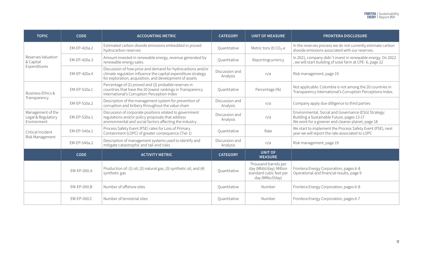| <b>TOPIC</b>                                           | <b>CODE</b>  | <b>ACCOUNTING METRIC</b>                                                                                                                                                               | <b>CATEGORY</b>            | <b>UNIT OF MEASURE</b>                                                                        | <b>FRONTERA DISCLOSURE</b>                                                                                                                              |
|--------------------------------------------------------|--------------|----------------------------------------------------------------------------------------------------------------------------------------------------------------------------------------|----------------------------|-----------------------------------------------------------------------------------------------|---------------------------------------------------------------------------------------------------------------------------------------------------------|
| Reserves Valuation<br>& Capital<br>Expenditures        | EM-EP-420a.2 | Estimated carbon dioxide emissions embedded in proved<br>hydrocarbon reserves                                                                                                          | Quantitative               | Metric tons (t) $CO2 - e$                                                                     | In the reserves process we do not currently estimate carbon<br>dioxide emissions associated with our reserves.                                          |
|                                                        | EM-EP-420a.3 | Amount invested in renewable energy, revenue generated by<br>renewable energy sales                                                                                                    | Quantitative               | Reportingcurrency                                                                             | In 2021, company didn't invest in renewable energy. On 2022<br>, we will start building of solar farm at CPE-6, page 22                                 |
|                                                        | EM-EP-420a.4 | Discussion of how price and demand for hydrocarbons and/or<br>climate regulation influence the capital expenditure strategy<br>for exploration, acquisition, and development of assets | Discussion and<br>Analysis | n/a                                                                                           | Risk management, page 19                                                                                                                                |
| Business Ethics &<br>Transparency                      | EM-EP-510a.1 | Percentage of (1) proved and (2) probable reserves in<br>countries that have the 20 lowest rankings in Transparency<br>International's Corruption Perception Index                     | Quantitative               | Percentage (%)                                                                                | Not applicable. Colombia is not among the 20 countries in<br>Transparency International's Corruption Perceptions Index.                                 |
|                                                        | EM-EP-510a.2 | Description of the management system for prevention of<br>corruption and bribery throughout the value chain                                                                            | Discussion and<br>Analysis | n/a                                                                                           | Company apply due dilligence to third parties                                                                                                           |
| Management of the<br>Legal & Regulatory<br>Environment | EM-EP-530a.1 | Discussion of corporate positions related to government<br>regulations and/or policy proposals that address<br>environmental and social factors affecting the industry                 | Discussion and<br>Analysis | n/a                                                                                           | Environmental, Social and Governance (ESG) Strategy:<br>Building a Sustainable Future, pages 13-17<br>We work for a greener and cleaner planet, page 18 |
| Critical Incident<br>Risk Management                   | EM-EP-540a.1 | Process Safety Event (PSE) rates for Loss of Primary<br>Containment (LOPC) of greater consequence (Tier 1)                                                                             | Quantitative               | Rate                                                                                          | We start to implement the Process Safety Event (PSE), next<br>year we will report the rate associated to LOPC                                           |
|                                                        | EM-EP-540a.2 | Description of management systems used to identify and<br>mitigate catastrophic and tail-end risks                                                                                     | Discussion and<br>Analysis | n/a                                                                                           | Risk management, page 19                                                                                                                                |
|                                                        | <b>CODE</b>  | <b>ACTIVITY METRIC</b>                                                                                                                                                                 | <b>CATEGORY</b>            | <b>UNIT OF</b><br><b>MEASURE</b>                                                              |                                                                                                                                                         |
|                                                        | EM-EP-000.A  | Production of: (1) oil, (2) natural gas, (3) synthetic oil, and (4)<br>synthetic gas                                                                                                   | Quantitative               | Thousand barrels per<br>day (Mbbl/day); Million<br>standard cubic feet per<br>day (MMscf/day) | Frontera Energy Corporation, pages 6-8<br>Operational and financial results, page 9                                                                     |
|                                                        | EM-EP-000.B  | Number of offshore sites                                                                                                                                                               | Quantitative               | Number                                                                                        | Frontera Energy Corporation, pages 6-8                                                                                                                  |
|                                                        | EM-EP-000.C  | Number of terrestrial sites                                                                                                                                                            | Quantitative               | Number                                                                                        | Frontera Energy Corporation, pages 6-7                                                                                                                  |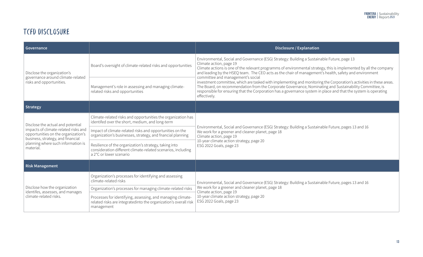## TCFD DISCLOSURE

| Governance                                                                                                       |                                                                                                                                                   | Disclosure / Explanation                                                                                                                                                                                                                                                                                                                                                                    |  |  |
|------------------------------------------------------------------------------------------------------------------|---------------------------------------------------------------------------------------------------------------------------------------------------|---------------------------------------------------------------------------------------------------------------------------------------------------------------------------------------------------------------------------------------------------------------------------------------------------------------------------------------------------------------------------------------------|--|--|
| Disclose the organization's<br>governance around climate-related                                                 | Board's oversight of climate-related risks and opportunities                                                                                      | Environmental, Social and Governance (ESG) Strategy: Building a Sustainable Future, page 13<br>Climate action, page 19<br>Climate actions is one of the relevant programms of environmental strategy, this is implemented by all the company<br>and leading by the HSEQ team. The CEO acts as the chair of management's health, safety and environment<br>committee and management's social |  |  |
| risks and opportunities.                                                                                         | Management's role in assessing and managing climate-<br>related risks and opportunities                                                           | investment committee, which are tasked with implementing and monitoring the Corporation's activities in these areas.<br>The Board, on recommendation from the Corporate Governance, Nominating and Sustainability Committee, is<br>responsible for ensuring that the Corporation has a governance system in place and that the system is operating<br>effectively.                          |  |  |
| Strategy                                                                                                         |                                                                                                                                                   |                                                                                                                                                                                                                                                                                                                                                                                             |  |  |
| Disclose the actual and potential                                                                                | Climate-related risks and opportunities the organization has<br>identifed over the short, medium, and long-term                                   |                                                                                                                                                                                                                                                                                                                                                                                             |  |  |
| impacts of climate-related risks and<br>opportunities on the organization's<br>business, strategy, and financial | Impact of climate-related risks and opportunities on the<br>organization's businesses, strategy, and fnancial planning                            | Environmental, Social and Governance (ESG) Strategy: Building a Sustainable Future, pages 13 and 16<br>We work for a greener and cleaner planet, page 18<br>Climate action, page 19                                                                                                                                                                                                         |  |  |
| planning where such information is<br>material.                                                                  | Resilience of the organization's strategy, taking into<br>consideration different climate-related scenarios, including<br>a 2°C or lower scenario | 10-year climate action strategy, page 20<br>ESG 2022 Goals, page 23                                                                                                                                                                                                                                                                                                                         |  |  |
| <b>Risk Management</b>                                                                                           |                                                                                                                                                   |                                                                                                                                                                                                                                                                                                                                                                                             |  |  |
|                                                                                                                  | Organization's processes for identifying and assessing<br>climate-related risks                                                                   | Environmental, Social and Governance (ESG) Strategy: Building a Sustainable Future, pages 13 and 16                                                                                                                                                                                                                                                                                         |  |  |
| Disclose how the organization<br>identifes, assesses, and manages                                                | Organization's processes for managing climate-related risks                                                                                       | We work for a greener and cleaner planet, page 18<br>Climate action, page 19                                                                                                                                                                                                                                                                                                                |  |  |
| climate-related risks.                                                                                           | Processes for identifying, assessing, and managing climate-<br>related risks are integrated into the organization's overall risk<br>management    | 10-year climate action strategy, page 20<br>ESG 2022 Goals, page 23                                                                                                                                                                                                                                                                                                                         |  |  |